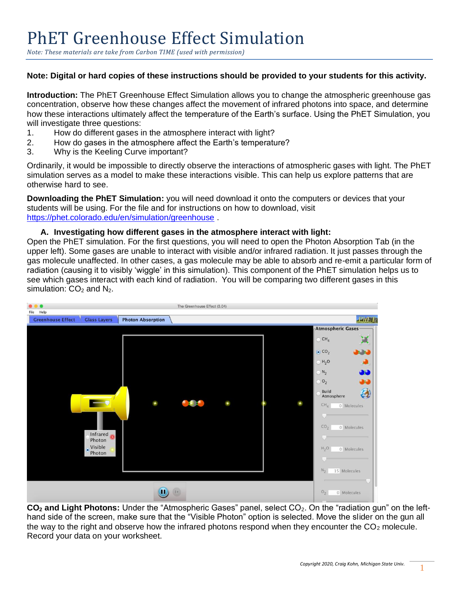*Note: These materials are take from Carbon TIME (used with permission)* 

## **Note: Digital or hard copies of these instructions should be provided to your students for this activity.**

**Introduction:** The PhET Greenhouse Effect Simulation allows you to change the atmospheric greenhouse gas concentration, observe how these changes affect the movement of infrared photons into space, and determine how these interactions ultimately affect the temperature of the Earth's surface. Using the PhET Simulation, you will investigate three questions:

- 1. How do different gases in the atmosphere interact with light?
- 2. How do gases in the atmosphere affect the Earth's temperature?
- 3. Why is the Keeling Curve important?

Ordinarily, it would be impossible to directly observe the interactions of atmospheric gases with light. The PhET simulation serves as a model to make these interactions visible. This can help us explore patterns that are otherwise hard to see.

**Downloading the PhET Simulation:** you will need download it onto the computers or devices that your students will be using. For the file and for instructions on how to download, visit <https://phet.colorado.edu/en/simulation/greenhouse> .

### **A. Investigating how different gases in the atmosphere interact with light:**

Open the PhET simulation. For the first questions, you will need to open the Photon Absorption Tab (in the upper left). Some gases are unable to interact with visible and/or infrared radiation. It just passes through the gas molecule unaffected. In other cases, a gas molecule may be able to absorb and re-emit a particular form of radiation (causing it to visibly 'wiggle' in this simulation). This component of the PhET simulation helps us to see which gases interact with each kind of radiation. You will be comparing two different gases in this simulation:  $CO<sub>2</sub>$  and N<sub>2</sub>.

| File<br>Help                                                                | The Greenhouse Effect (3.04) |                                                                                                                                                                                                                                                                                                                                      |
|-----------------------------------------------------------------------------|------------------------------|--------------------------------------------------------------------------------------------------------------------------------------------------------------------------------------------------------------------------------------------------------------------------------------------------------------------------------------|
| <b>Photon Absorption</b><br><b>Greenhouse Effect</b><br><b>Glass Layers</b> |                              | PhET                                                                                                                                                                                                                                                                                                                                 |
| Infrared<br>Photon<br>· Visible<br>Photon                                   |                              | Atmospheric Gases-<br>$\bigcirc$ CH <sub>4</sub><br>$\odot$ CO <sub>2</sub><br><b>Brain</b><br>$H_2O$<br>$\bigcirc$ $N_2$<br>33<br>$O_2$<br>an I<br>A<br><b>Build</b><br>œ<br>Atmosphere<br>CH <sub>a</sub><br>0 Molecules<br>u<br>CO <sub>2</sub><br>0 Molecules<br>w<br>H <sub>2</sub> O<br>0 Molecules<br>$N_{2}$<br>15 Molecules |
| ш                                                                           | $\mathbb{D}$                 | O <sub>2</sub><br>0 Molecules                                                                                                                                                                                                                                                                                                        |

**CO<sub>2</sub>** and Light Photons: Under the "Atmospheric Gases" panel, select CO<sub>2</sub>. On the "radiation gun" on the lefthand side of the screen, make sure that the "Visible Photon" option is selected. Move the slider on the gun all the way to the right and observe how the infrared photons respond when they encounter the  $CO<sub>2</sub>$  molecule. Record your data on your worksheet.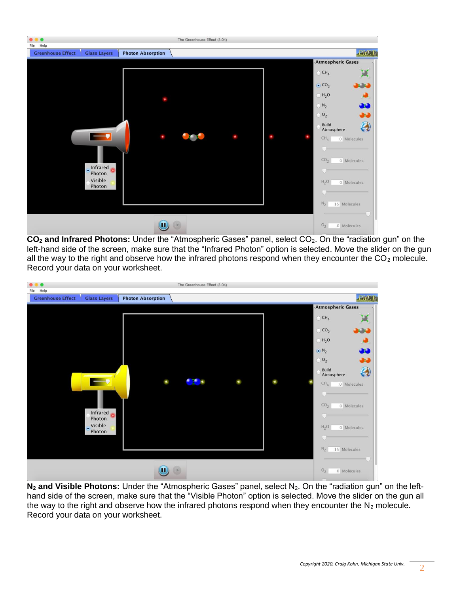

**CO<sup>2</sup> and Infrared Photons:** Under the "Atmospheric Gases" panel, select CO2. On the "radiation gun" on the left-hand side of the screen, make sure that the "Infrared Photon" option is selected. Move the slider on the gun all the way to the right and observe how the infrared photons respond when they encounter the  $CO<sub>2</sub>$  molecule. Record your data on your worksheet.

| File Help                                                                   | The Greenhouse Effect (3.04) |                                                                                                                                                                                                                                                                                                                        |
|-----------------------------------------------------------------------------|------------------------------|------------------------------------------------------------------------------------------------------------------------------------------------------------------------------------------------------------------------------------------------------------------------------------------------------------------------|
| <b>Greenhouse Effect</b><br><b>Photon Absorption</b><br><b>Glass Layers</b> |                              | <b>PhET</b>                                                                                                                                                                                                                                                                                                            |
| Infrared<br>Photon<br>. Visible<br>Photon                                   | - 12                         | Atmospheric Gases-<br>$\bigcirc$ CH <sub>4</sub><br>$\bigcirc$ CO <sub>2</sub><br><b>Jane</b><br>$H_2O$<br>$\odot$ N <sub>2</sub><br><b>DE</b><br>$O_2$<br>27<br>Ą<br>Build<br>C<br>Atmosphere<br>CH <sub>4</sub><br>0 Molecules<br>CO <sub>2</sub><br>0 Molecules<br>$H_2O$<br>0 Molecules<br>$N_{2}$<br>15 Molecules |
| Ш                                                                           | $\mathsf{D}$                 | O <sub>2</sub><br>0 Molecules                                                                                                                                                                                                                                                                                          |

**N<sub>2</sub>** and Visible Photons: Under the "Atmospheric Gases" panel, select N<sub>2</sub>. On the "radiation gun" on the lefthand side of the screen, make sure that the "Visible Photon" option is selected. Move the slider on the gun all the way to the right and observe how the infrared photons respond when they encounter the  $N_2$  molecule. Record your data on your worksheet.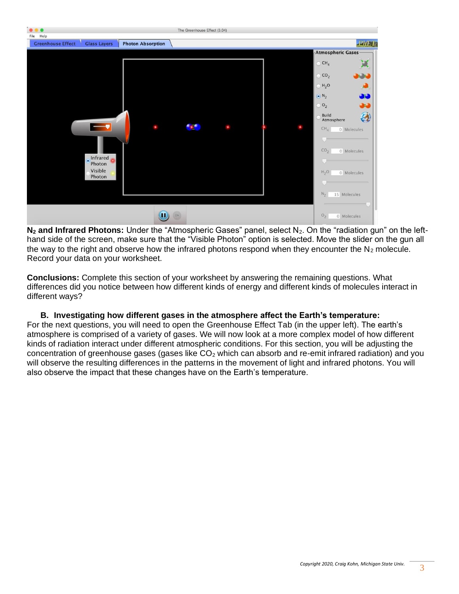

**N<sub>2</sub>** and Infrared Photons: Under the "Atmospheric Gases" panel, select N<sub>2</sub>. On the "radiation gun" on the lefthand side of the screen, make sure that the "Visible Photon" option is selected. Move the slider on the gun all the way to the right and observe how the infrared photons respond when they encounter the  $N_2$  molecule. Record your data on your worksheet.

**Conclusions:** Complete this section of your worksheet by answering the remaining questions. What differences did you notice between how different kinds of energy and different kinds of molecules interact in different ways?

**B. Investigating how different gases in the atmosphere affect the Earth's temperature:** For the next questions, you will need to open the Greenhouse Effect Tab (in the upper left). The earth's atmosphere is comprised of a variety of gases. We will now look at a more complex model of how different kinds of radiation interact under different atmospheric conditions. For this section, you will be adjusting the concentration of greenhouse gases (gases like  $CO<sub>2</sub>$  which can absorb and re-emit infrared radiation) and you will observe the resulting differences in the patterns in the movement of light and infrared photons. You will also observe the impact that these changes have on the Earth's temperature.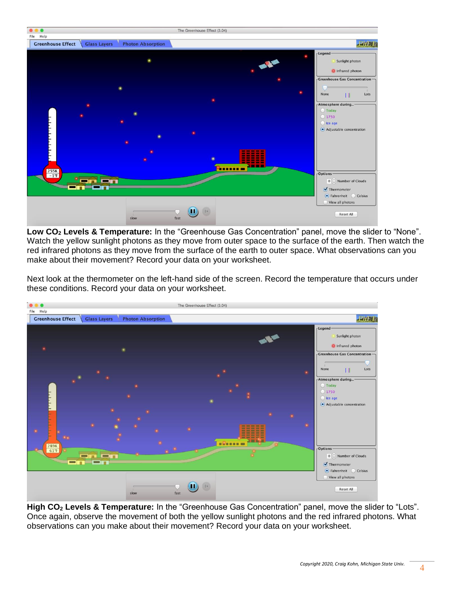

**Low CO<sup>2</sup> Levels & Temperature:** In the "Greenhouse Gas Concentration" panel, move the slider to "None". Watch the yellow sunlight photons as they move from outer space to the surface of the earth. Then watch the red infrared photons as they move from the surface of the earth to outer space. What observations can you make about their movement? Record your data on your worksheet.

Next look at the thermometer on the left-hand side of the screen. Record the temperature that occurs under these conditions. Record your data on your worksheet.



**High CO<sup>2</sup> Levels & Temperature:** In the "Greenhouse Gas Concentration" panel, move the slider to "Lots". Once again, observe the movement of both the yellow sunlight photons and the red infrared photons. What observations can you make about their movement? Record your data on your worksheet.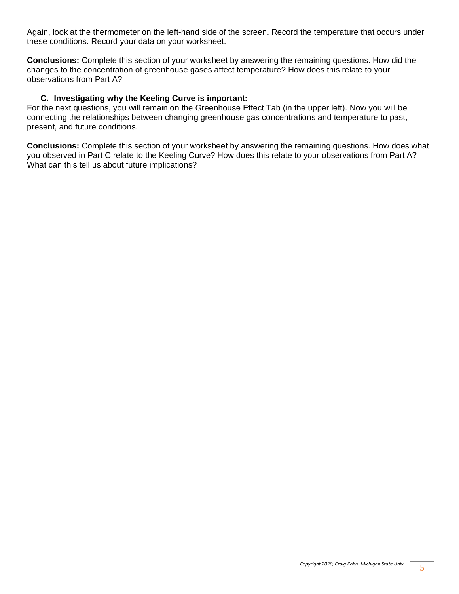Again, look at the thermometer on the left-hand side of the screen. Record the temperature that occurs under these conditions. Record your data on your worksheet.

**Conclusions:** Complete this section of your worksheet by answering the remaining questions. How did the changes to the concentration of greenhouse gases affect temperature? How does this relate to your observations from Part A?

#### **C. Investigating why the Keeling Curve is important:**

For the next questions, you will remain on the Greenhouse Effect Tab (in the upper left). Now you will be connecting the relationships between changing greenhouse gas concentrations and temperature to past, present, and future conditions.

**Conclusions:** Complete this section of your worksheet by answering the remaining questions. How does what you observed in Part C relate to the Keeling Curve? How does this relate to your observations from Part A? What can this tell us about future implications?